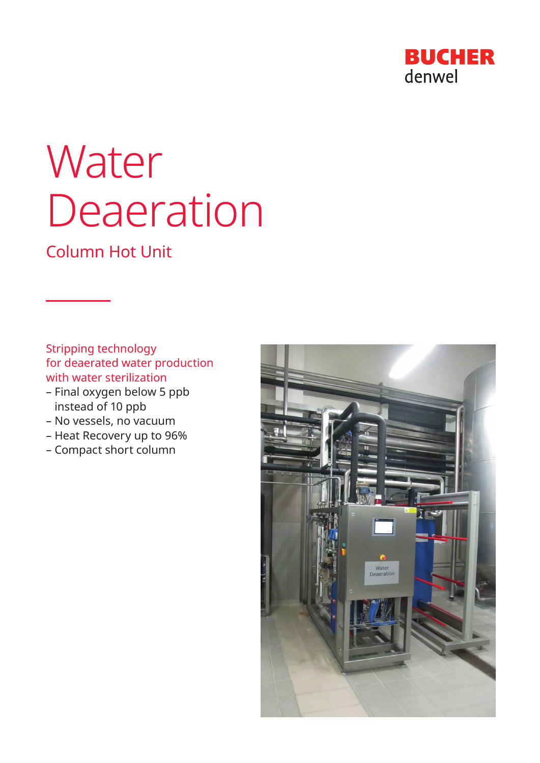

# **Water** Deaeration

# Column Hot Unit

Stripping technology for deaerated water production with water sterilization

- Final oxygen below 5 ppb instead of 10 ppb
- No vessels, no vacuum
- Heat Recovery up to 96%
- Compact short column